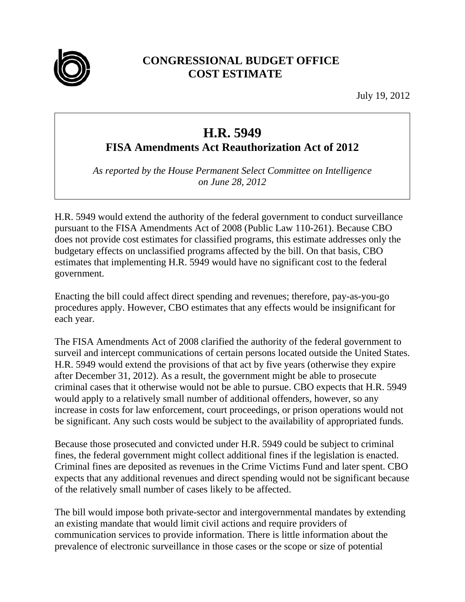

## **CONGRESSIONAL BUDGET OFFICE COST ESTIMATE**

July 19, 2012

## **H.R. 5949**

**FISA Amendments Act Reauthorization Act of 2012** 

*As reported by the House Permanent Select Committee on Intelligence on June 28, 2012* 

H.R. 5949 would extend the authority of the federal government to conduct surveillance pursuant to the FISA Amendments Act of 2008 (Public Law 110-261). Because CBO does not provide cost estimates for classified programs, this estimate addresses only the budgetary effects on unclassified programs affected by the bill. On that basis, CBO estimates that implementing H.R. 5949 would have no significant cost to the federal government.

Enacting the bill could affect direct spending and revenues; therefore, pay-as-you-go procedures apply. However, CBO estimates that any effects would be insignificant for each year.

The FISA Amendments Act of 2008 clarified the authority of the federal government to surveil and intercept communications of certain persons located outside the United States. H.R. 5949 would extend the provisions of that act by five years (otherwise they expire after December 31, 2012). As a result, the government might be able to prosecute criminal cases that it otherwise would not be able to pursue. CBO expects that H.R. 5949 would apply to a relatively small number of additional offenders, however, so any increase in costs for law enforcement, court proceedings, or prison operations would not be significant. Any such costs would be subject to the availability of appropriated funds.

Because those prosecuted and convicted under H.R. 5949 could be subject to criminal fines, the federal government might collect additional fines if the legislation is enacted. Criminal fines are deposited as revenues in the Crime Victims Fund and later spent. CBO expects that any additional revenues and direct spending would not be significant because of the relatively small number of cases likely to be affected.

The bill would impose both private-sector and intergovernmental mandates by extending an existing mandate that would limit civil actions and require providers of communication services to provide information. There is little information about the prevalence of electronic surveillance in those cases or the scope or size of potential